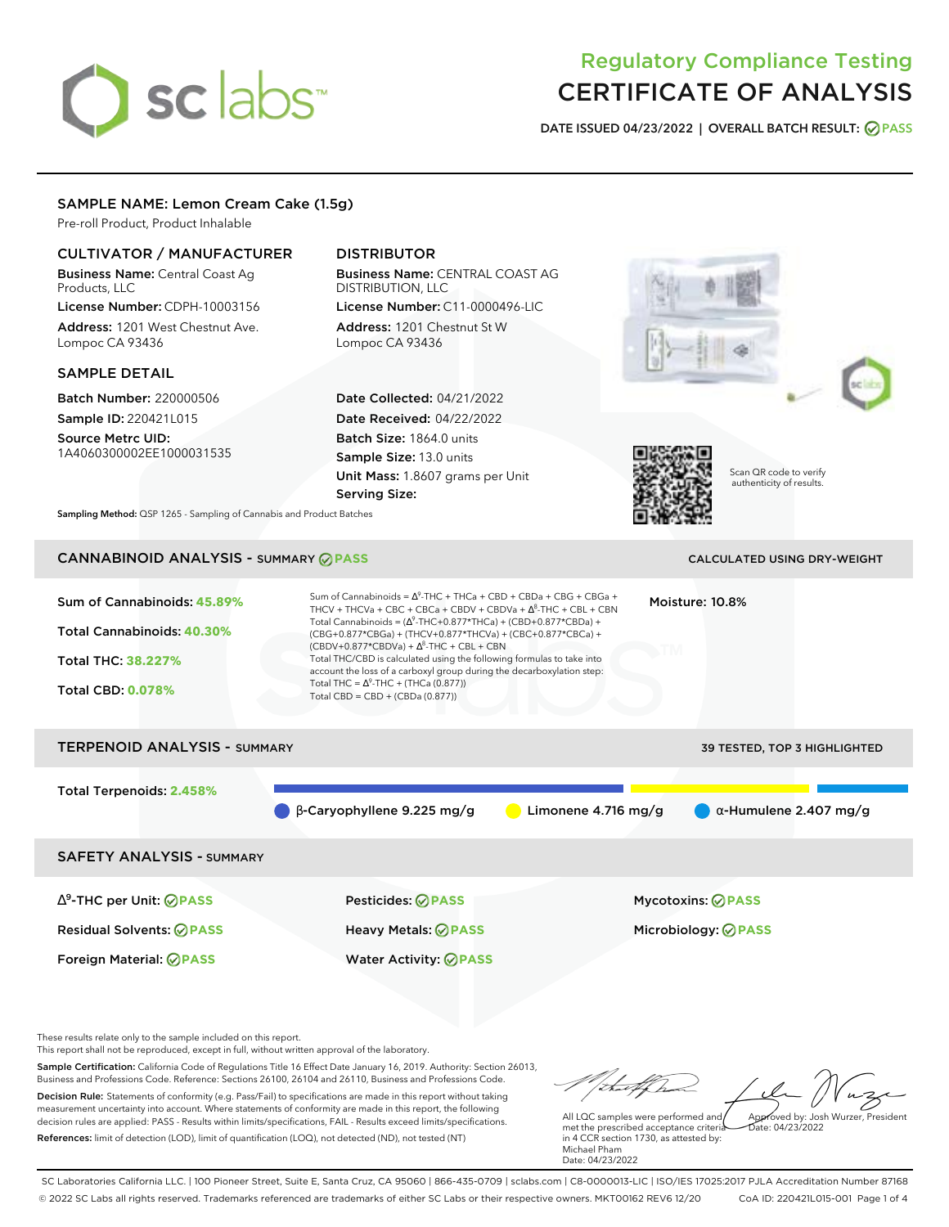# sclabs<sup>\*</sup>

# Regulatory Compliance Testing CERTIFICATE OF ANALYSIS

**DATE ISSUED 04/23/2022 | OVERALL BATCH RESULT: PASS**

# SAMPLE NAME: Lemon Cream Cake (1.5g)

Pre-roll Product, Product Inhalable

# CULTIVATOR / MANUFACTURER

Business Name: Central Coast Ag Products, LLC

License Number: CDPH-10003156 Address: 1201 West Chestnut Ave. Lompoc CA 93436

# SAMPLE DETAIL

Batch Number: 220000506 Sample ID: 220421L015

Source Metrc UID: 1A4060300002EE1000031535

# DISTRIBUTOR

Business Name: CENTRAL COAST AG DISTRIBUTION, LLC

License Number: C11-0000496-LIC Address: 1201 Chestnut St W Lompoc CA 93436

Date Collected: 04/21/2022 Date Received: 04/22/2022 Batch Size: 1864.0 units Sample Size: 13.0 units Unit Mass: 1.8607 grams per Unit Serving Size:







Scan QR code to verify authenticity of results.

**Sampling Method:** QSP 1265 - Sampling of Cannabis and Product Batches

# CANNABINOID ANALYSIS - SUMMARY **PASS** CALCULATED USING DRY-WEIGHT

| Sum of Cannabinoids: 45.89%<br>Total Cannabinoids: 40.30%<br>Total THC: 38.227%<br><b>Total CBD: 0.078%</b> | Sum of Cannabinoids = $\Delta^9$ -THC + THCa + CBD + CBDa + CBG + CBGa +<br>THCV + THCVa + CBC + CBCa + CBDV + CBDVa + $\Delta^8$ -THC + CBL + CBN<br>Total Cannabinoids = $(\Delta^9$ -THC+0.877*THCa) + (CBD+0.877*CBDa) +<br>(CBG+0.877*CBGa) + (THCV+0.877*THCVa) + (CBC+0.877*CBCa) +<br>$(CBDV+0.877*CBDVa) + \Delta^{8}$ -THC + CBL + CBN<br>Total THC/CBD is calculated using the following formulas to take into<br>account the loss of a carboxyl group during the decarboxylation step:<br>Total THC = $\Delta^9$ -THC + (THCa (0.877))<br>Total CBD = CBD + (CBDa (0.877)) |                       | Moisture: 10.8%                     |
|-------------------------------------------------------------------------------------------------------------|----------------------------------------------------------------------------------------------------------------------------------------------------------------------------------------------------------------------------------------------------------------------------------------------------------------------------------------------------------------------------------------------------------------------------------------------------------------------------------------------------------------------------------------------------------------------------------------|-----------------------|-------------------------------------|
| <b>TERPENOID ANALYSIS - SUMMARY</b>                                                                         |                                                                                                                                                                                                                                                                                                                                                                                                                                                                                                                                                                                        |                       | <b>39 TESTED, TOP 3 HIGHLIGHTED</b> |
| Total Terpenoids: 2.458%                                                                                    | β-Caryophyllene 9.225 mg/g                                                                                                                                                                                                                                                                                                                                                                                                                                                                                                                                                             | Limonene $4.716$ mg/g | $\alpha$ -Humulene 2.407 mg/g       |
| <b>SAFETY ANALYSIS - SUMMARY</b>                                                                            |                                                                                                                                                                                                                                                                                                                                                                                                                                                                                                                                                                                        |                       |                                     |

∆ 9 -THC per Unit: **PASS** Pesticides: **PASS** Mycotoxins: **PASS** Residual Solvents: **PASS** Heavy Metals: **PASS** Microbiology: **PASS**

Foreign Material: **PASS** Water Activity: **PASS**

These results relate only to the sample included on this report.

This report shall not be reproduced, except in full, without written approval of the laboratory.

Sample Certification: California Code of Regulations Title 16 Effect Date January 16, 2019. Authority: Section 26013, Business and Professions Code. Reference: Sections 26100, 26104 and 26110, Business and Professions Code. Decision Rule: Statements of conformity (e.g. Pass/Fail) to specifications are made in this report without taking measurement uncertainty into account. Where statements of conformity are made in this report, the following decision rules are applied: PASS - Results within limits/specifications, FAIL - Results exceed limits/specifications.

References: limit of detection (LOD), limit of quantification (LOQ), not detected (ND), not tested (NT)

Approved by: Josh Wurzer, President

 $ate: 04/23/2022$ 

All LQC samples were performed and met the prescribed acceptance criteria in 4 CCR section 1730, as attested by: Michael Pham Date: 04/23/2022

SC Laboratories California LLC. | 100 Pioneer Street, Suite E, Santa Cruz, CA 95060 | 866-435-0709 | sclabs.com | C8-0000013-LIC | ISO/IES 17025:2017 PJLA Accreditation Number 87168 © 2022 SC Labs all rights reserved. Trademarks referenced are trademarks of either SC Labs or their respective owners. MKT00162 REV6 12/20 CoA ID: 220421L015-001 Page 1 of 4